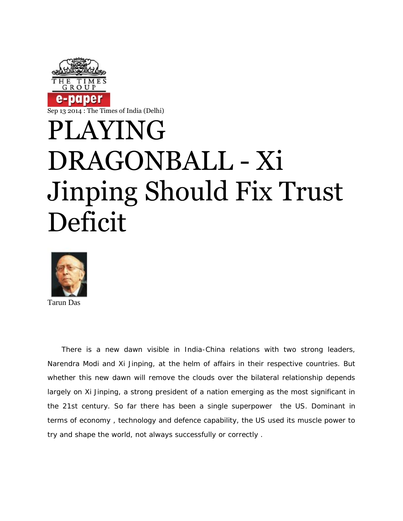

Sep 13 2014 : The Times of India (Delhi)

## PLAYING DRAGONBALL - Xi Jinping Should Fix Trust Deficit



Tarun Das

There is a new dawn visible in India-China relations with two strong leaders, Narendra Modi and Xi Jinping, at the helm of affairs in their respective countries. But whether this new dawn will remove the clouds over the bilateral relationship depends largely on Xi Jinping, a strong president of a nation emerging as the most significant in the 21st century. So far there has been a single superpower the US. Dominant in terms of economy , technology and defence capability, the US used its muscle power to try and shape the world, not always successfully or correctly .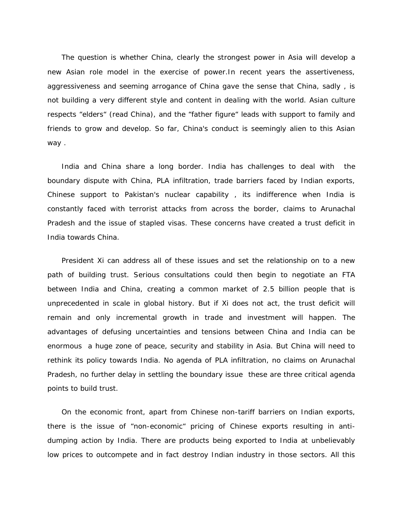The question is whether China, clearly the strongest power in Asia will develop a new Asian role model in the exercise of power.In recent years the assertiveness, aggressiveness and seeming arrogance of China gave the sense that China, sadly , is not building a very different style and content in dealing with the world. Asian culture respects "elders" (read China), and the "father figure" leads with support to family and friends to grow and develop. So far, China's conduct is seemingly alien to this Asian way .

India and China share a long border. India has challenges to deal with the boundary dispute with China, PLA infiltration, trade barriers faced by Indian exports, Chinese support to Pakistan's nuclear capability , its indifference when India is constantly faced with terrorist attacks from across the border, claims to Arunachal Pradesh and the issue of stapled visas. These concerns have created a trust deficit in India towards China.

President Xi can address all of these issues and set the relationship on to a new path of building trust. Serious consultations could then begin to negotiate an FTA between India and China, creating a common market of 2.5 billion people that is unprecedented in scale in global history. But if Xi does not act, the trust deficit will remain and only incremental growth in trade and investment will happen. The advantages of defusing uncertainties and tensions between China and India can be enormous a huge zone of peace, security and stability in Asia. But China will need to rethink its policy towards India. No agenda of PLA infiltration, no claims on Arunachal Pradesh, no further delay in settling the boundary issue these are three critical agenda points to build trust.

On the economic front, apart from Chinese non-tariff barriers on Indian exports, there is the issue of "non-economic" pricing of Chinese exports resulting in anti dumping action by India. There are products being exported to India at unbelievably low prices to outcompete and in fact destroy Indian industry in those sectors. All this